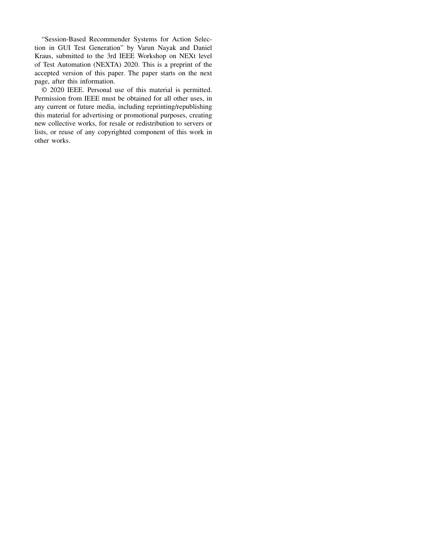"Session-Based Recommender Systems for Action Selection in GUI Test Generation" by Varun Nayak and Daniel Kraus, submitted to the 3rd IEEE Workshop on NEXt level of Test Automation (NEXTA) 2020. This is a preprint of the accepted version of this paper. The paper starts on the next page, after this information.

© 2020 IEEE. Personal use of this material is permitted. Permission from IEEE must be obtained for all other uses, in any current or future media, including reprinting/republishing this material for advertising or promotional purposes, creating new collective works, for resale or redistribution to servers or lists, or reuse of any copyrighted component of this work in other works.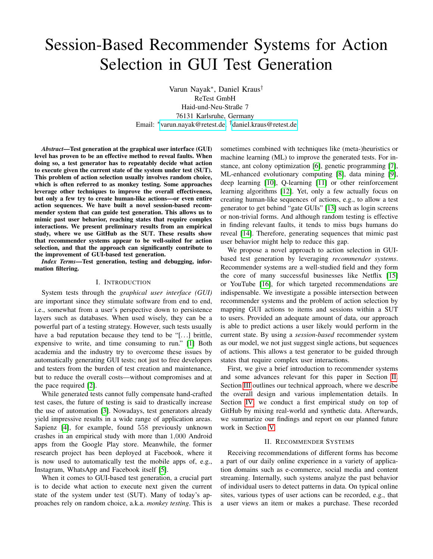# Session-Based Recommender Systems for Action Selection in GUI Test Generation

Varun Nayak<sup>∗</sup> , Daniel Kraus† ReTest GmbH Haid-und-Neu-Straße 7 76131 Karlsruhe, Germany Email: <sup>∗</sup>[varun.nayak@retest.de,](mailto:varun.nayak@retest.de) †[daniel.kraus@retest.de](mailto:daniel.kraus@retest.de)

*Abstract*—Test generation at the graphical user interface (GUI) level has proven to be an effective method to reveal faults. When doing so, a test generator has to repeatably decide what action to execute given the current state of the system under test (SUT). This problem of action selection usually involves random choice, which is often referred to as monkey testing. Some approaches leverage other techniques to improve the overall effectiveness, but only a few try to create human-like actions—or even entire action sequences. We have built a novel session-based recommender system that can guide test generation. This allows us to mimic past user behavior, reaching states that require complex interactions. We present preliminary results from an empirical study, where we use GitHub as the SUT. These results show that recommender systems appear to be well-suited for action selection, and that the approach can significantly contribute to the improvement of GUI-based test generation.

*Index Terms*—Test generation, testing and debugging, information filtering.

# I. INTRODUCTION

System tests through the *graphical user interface (GUI)* are important since they stimulate software from end to end, i.e., somewhat from a user's perspective down to persistence layers such as databases. When used wisely, they can be a powerful part of a testing strategy. However, such tests usually have a bad reputation because they tend to be "[...] brittle, expensive to write, and time consuming to run." [\[1\]](#page-4-0) Both academia and the industry try to overcome these issues by automatically generating GUI tests; not just to free developers and testers from the burden of test creation and maintenance, but to reduce the overall costs—without compromises and at the pace required [\[2\]](#page-4-1).

While generated tests cannot fully compensate hand-crafted test cases, the future of testing is said to drastically increase the use of automation [\[3\]](#page-4-2). Nowadays, test generators already yield impressive results in a wide range of application areas. Sapienz [\[4\]](#page-4-3), for example, found 558 previously unknown crashes in an empirical study with more than 1,000 Android apps from the Google Play store. Meanwhile, the former research project has been deployed at Facebook, where it is now used to automatically test the mobile apps of, e.g., Instagram, WhatsApp and Facebook itself [\[5\]](#page-4-4).

When it comes to GUI-based test generation, a crucial part is to decide what action to execute next given the current state of the system under test (SUT). Many of today's approaches rely on random choice, a.k.a. *monkey testing*. This is sometimes combined with techniques like (meta-)heuristics or machine learning (ML) to improve the generated tests. For instance, ant colony optimization [\[6\]](#page-4-5), genetic programming [\[7\]](#page-4-6), ML-enhanced evolutionary computing [\[8\]](#page-4-7), data mining [\[9\]](#page-4-8), deep learning [\[10\]](#page-4-9), Q-learning [\[11\]](#page-4-10) or other reinforcement learning algorithms [\[12\]](#page-4-11). Yet, only a few actually focus on creating human-like sequences of actions, e.g., to allow a test generator to get behind "gate GUIs" [\[13\]](#page-4-12) such as login screens or non-trivial forms. And although random testing is effective in finding relevant faults, it tends to miss bugs humans do reveal [\[14\]](#page-4-13). Therefore, generating sequences that mimic past user behavior might help to reduce this gap.

We propose a novel approach to action selection in GUIbased test generation by leveraging *recommender systems*. Recommender systems are a well-studied field and they form the core of many successful businesses like Netflix [\[15\]](#page-4-14) or YouTube [\[16\]](#page-4-15), for which targeted recommendations are indispensable. We investigate a possible intersection between recommender systems and the problem of action selection by mapping GUI actions to items and sessions within a SUT to users. Provided an adequate amount of data, our approach is able to predict actions a user likely would perform in the current state. By using a *session-based* recommender system as our model, we not just suggest single actions, but sequences of actions. This allows a test generator to be guided through states that require complex user interactions.

First, we give a brief introduction to recommender systems and some advances relevant for this paper in Section [II.](#page-1-0) Section [III](#page-2-0) outlines our technical approach, where we describe the overall design and various implementation details. In Section [IV,](#page-2-1) we conduct a first empirical study on top of GitHub by mixing real-world and synthetic data. Afterwards, we summarize our findings and report on our planned future work in Section [V.](#page-4-16)

## II. RECOMMENDER SYSTEMS

<span id="page-1-0"></span>Receiving recommendations of different forms has become a part of our daily online experience in a variety of application domains such as e-commerce, social media and content streaming. Internally, such systems analyze the past behavior of individual users to detect patterns in data. On typical online sites, various types of user actions can be recorded, e.g., that a user views an item or makes a purchase. These recorded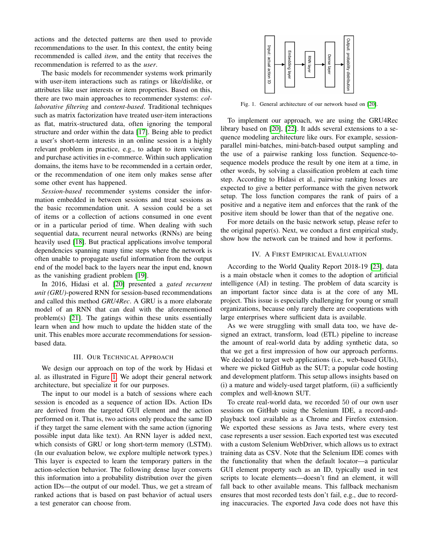actions and the detected patterns are then used to provide recommendations to the user. In this context, the entity being recommended is called *item*, and the entity that receives the recommendation is referred to as the *user*.

The basic models for recommender systems work primarily with user-item interactions such as ratings or like/dislike, or attributes like user interests or item properties. Based on this, there are two main approaches to recommender systems: *collaborative filtering* and *content-based*. Traditional techniques such as matrix factorization have treated user-item interactions as flat, matrix-structured data, often ignoring the temporal structure and order within the data [\[17\]](#page-4-17). Being able to predict a user's short-term interests in an online session is a highly relevant problem in practice, e.g., to adapt to item viewing and purchase activities in e-commerce. Within such application domains, the items have to be recommended in a certain order, or the recommendation of one item only makes sense after some other event has happened.

*Session-based* recommender systems consider the information embedded in between sessions and treat sessions as the basic recommendation unit. A session could be a set of items or a collection of actions consumed in one event or in a particular period of time. When dealing with such sequential data, recurrent neural networks (RNNs) are being heavily used [\[18\]](#page-4-18). But practical applications involve temporal dependencies spanning many time steps where the network is often unable to propagate useful information from the output end of the model back to the layers near the input end, known as the vanishing gradient problem [\[19\]](#page-4-19).

In 2016, Hidasi et al. [\[20\]](#page-4-20) presented a *gated recurrent unit (GRU)*-powered RNN for session-based recommendations and called this method *GRU4Rec*. A GRU is a more elaborate model of an RNN that can deal with the aforementioned problem(s) [\[21\]](#page-4-21). The gatings within these units essentially learn when and how much to update the hidden state of the unit. This enables more accurate recommendations for sessionbased data.

## III. OUR TECHNICAL APPROACH

<span id="page-2-0"></span>We design our approach on top of the work by Hidasi et al. as illustrated in Figure [1.](#page-2-2) We adopt their general network architecture, but specialize it for our purposes.

The input to our model is a batch of sessions where each session is encoded as a sequence of action IDs. Action IDs are derived from the targeted GUI element and the action performed on it. That is, two actions only produce the same ID if they target the same element with the same action (ignoring possible input data like text). An RNN layer is added next, which consists of GRU or long short-term memory (LSTM). (In our evaluation below, we explore multiple network types.) This layer is expected to learn the temporary patters in the action-selection behavior. The following dense layer converts this information into a probability distribution over the given action IDs—the output of our model. Thus, we get a stream of ranked actions that is based on past behavior of actual users a test generator can choose from.



<span id="page-2-2"></span>Fig. 1. General architecture of our network based on [\[20\]](#page-4-20).

To implement our approach, we are using the GRU4Rec library based on [\[20\]](#page-4-20), [\[22\]](#page-4-22). It adds several extensions to a sequence modeling architecture like ours. For example, sessionparallel mini-batches, mini-batch-based output sampling and the use of a pairwise ranking loss function. Sequence-tosequence models produce the result by one item at a time, in other words, by solving a classification problem at each time step. According to Hidasi et al., pairwise ranking losses are expected to give a better performance with the given network setup. The loss function compares the rank of pairs of a positive and a negative item and enforces that the rank of the positive item should be lower than that of the negative one.

For more details on the basic network setup, please refer to the original paper(s). Next, we conduct a first empirical study, show how the network can be trained and how it performs.

### IV. A FIRST EMPIRICAL EVALUATION

<span id="page-2-1"></span>According to the World Quality Report 2018-19 [\[23\]](#page-4-23), data is a main obstacle when it comes to the adoption of artificial intelligence (AI) in testing. The problem of data scarcity is an important factor since data is at the core of any ML project. This issue is especially challenging for young or small organizations, because only rarely there are cooperations with large enterprises where sufficient data is available.

As we were struggling with small data too, we have designed an extract, transform, load (ETL) pipeline to increase the amount of real-world data by adding synthetic data, so that we get a first impression of how our approach performs. We decided to target web applications (i.e., web-based GUIs), where we picked GitHub as the SUT; a popular code hosting and development platform. This setup allows insights based on (i) a mature and widely-used target platform, (ii) a sufficiently complex and well-known SUT.

To create real-world data, we recorded 50 of our own user sessions on GitHub using the Selenium IDE, a record-andplayback tool available as a Chrome and Firefox extension. We exported these sessions as Java tests, where every test case represents a user session. Each exported test was executed with a custom Selenium WebDriver, which allows us to extract training data as CSV. Note that the Selenium IDE comes with the functionality that when the default locator—a particular GUI element property such as an ID, typically used in test scripts to locate elements—doesn't find an element, it will fall back to other available means. This fallback mechanism ensures that most recorded tests don't fail, e.g., due to recording inaccuracies. The exported Java code does not have this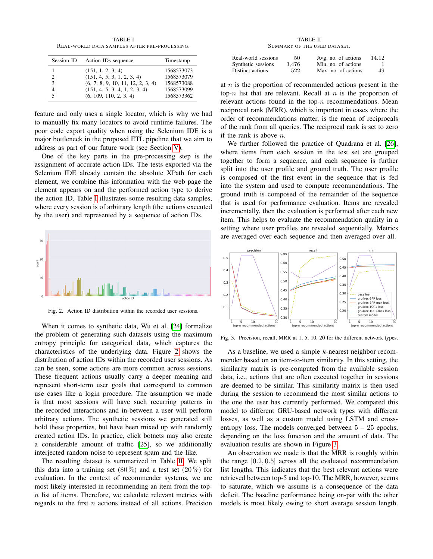TABLE I REAL-WORLD DATA SAMPLES AFTER PRE-PROCESSING.

<span id="page-3-0"></span>

| Session ID | Action IDs sequence               | Timestamp  |
|------------|-----------------------------------|------------|
|            | (151, 1, 2, 3, 4)                 | 1568573073 |
| 2          | (151, 4, 5, 3, 1, 2, 3, 4)        | 1568573079 |
| 3          | (6, 7, 8, 9, 10, 11, 12, 2, 3, 4) | 1568573088 |
| 4          | (151, 4, 5, 3, 4, 1, 2, 3, 4)     | 1568573099 |
| 5          | (6, 109, 110, 2, 3, 4)            | 1568573362 |

feature and only uses a single locator, which is why we had to manually fix many locators to avoid runtime failures. The poor code export quality when using the Selenium IDE is a major bottleneck in the proposed ETL pipeline that we aim to address as part of our future work (see Section [V\)](#page-4-16).

One of the key parts in the pre-processing step is the assignment of accurate action IDs. The tests exported via the Selenium IDE already contain the absolute XPath for each element, we combine this information with the web page the element appears on and the performed action type to derive the action ID. Table [I](#page-3-0) illustrates some resulting data samples, where every session is of arbitrary length (the actions executed by the user) and represented by a sequence of action IDs.



<span id="page-3-1"></span>Fig. 2. Action ID distribution within the recorded user sessions.

When it comes to synthetic data, Wu et al. [\[24\]](#page-4-24) formalize the problem of generating such datasets using the maximum entropy principle for categorical data, which captures the characteristics of the underlying data. Figure [2](#page-3-1) shows the distribution of action IDs within the recorded user sessions. As can be seen, some actions are more common across sessions. These frequent actions usually carry a deeper meaning and represent short-term user goals that correspond to common use cases like a login procedure. The assumption we made is that most sessions will have such recurring patterns in the recorded interactions and in-between a user will perform arbitrary actions. The synthetic sessions we generated still hold these properties, but have been mixed up with randomly created action IDs. In practice, click botnets may also create a considerable amount of traffic [\[25\]](#page-4-25), so we additionally interjected random noise to represent spam and the like.

The resulting dataset is summarized in Table [II.](#page-3-2) We split this data into a training set  $(80\%)$  and a test set  $(20\%)$  for evaluation. In the context of recommender systems, we are most likely interested in recommending an item from the top $n$  list of items. Therefore, we calculate relevant metrics with regards to the first  $n$  actions instead of all actions. Precision

#### TABLE II SUMMARY OF THE USED DATASET.

<span id="page-3-2"></span>

| Real-world sessions | 50    | Avg. no. of actions | 14.12 |
|---------------------|-------|---------------------|-------|
| Synthetic sessions  | 3.476 | Min. no. of actions |       |
| Distinct actions    | 522   | Max. no. of actions | 49    |

at  $n$  is the proportion of recommended actions present in the top-n list that are relevant. Recall at  $n$  is the proportion of relevant actions found in the top- $n$  recommendations. Mean reciprocal rank (MRR), which is important in cases where the order of recommendations matter, is the mean of reciprocals of the rank from all queries. The reciprocal rank is set to zero if the rank is above n.

We further followed the practice of Quadrana et al. [\[26\]](#page-4-26), where items from each session in the test set are grouped together to form a sequence, and each sequence is further split into the user profile and ground truth. The user profile is composed of the first event in the sequence that is fed into the system and used to compute recommendations. The ground truth is composed of the remainder of the sequence that is used for performance evaluation. Items are revealed incrementally, then the evaluation is performed after each new item. This helps to evaluate the recommendation quality in a setting where user profiles are revealed sequentially. Metrics are averaged over each sequence and then averaged over all.



<span id="page-3-3"></span>Fig. 3. Precision, recall, MRR at 1, 5, 10, 20 for the different network types.

As a baseline, we used a simple k-nearest neighbor recommender based on an item-to-item similarity. In this setting, the similarity matrix is pre-computed from the available session data, i.e., actions that are often executed together in sessions are deemed to be similar. This similarity matrix is then used during the session to recommend the most similar actions to the one the user has currently performed. We compared this model to different GRU-based network types with different losses, as well as a custom model using LSTM and crossentropy loss. The models converged between  $5 - 25$  epochs, depending on the loss function and the amount of data. The evaluation results are shown in Figure [3.](#page-3-3)

An observation we made is that the MRR is roughly within the range [0.2, 0.5] across all the evaluated recommendation list lengths. This indicates that the best relevant actions were retrieved between top-5 and top-10. The MRR, however, seems to saturate, which we assume is a consequence of the data deficit. The baseline performance being on-par with the other models is most likely owing to short average session length.